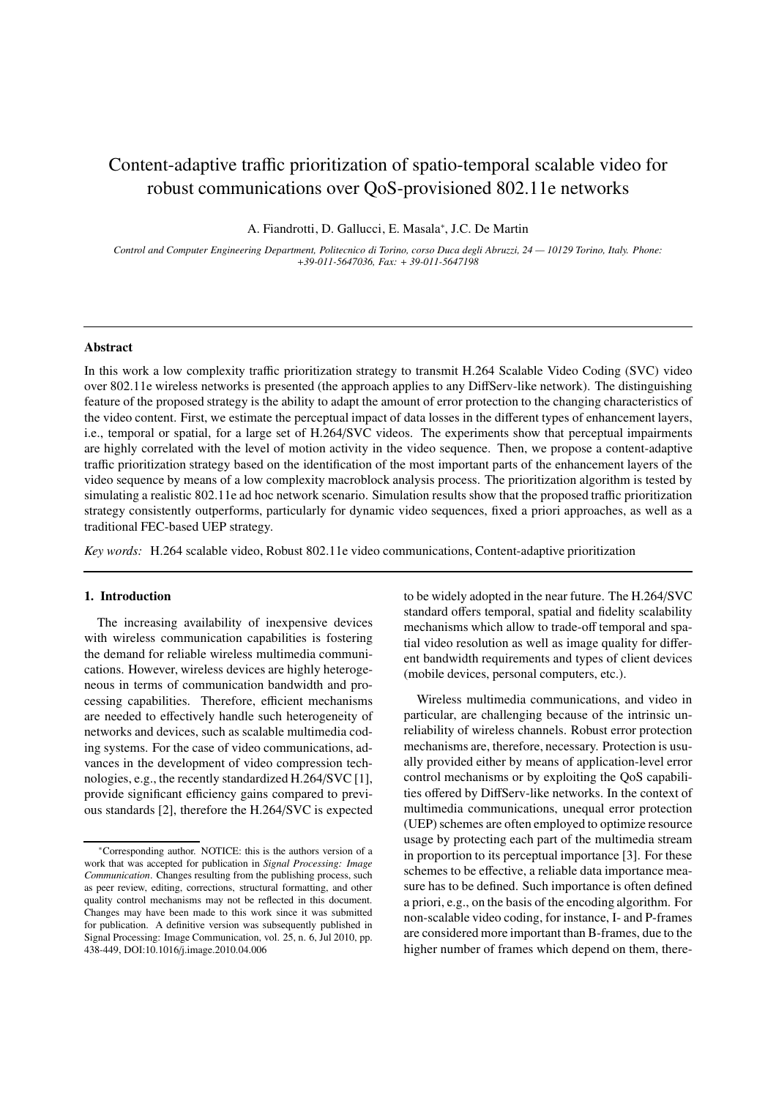# Content-adaptive traffic prioritization of spatio-temporal scalable video for robust communications over QoS-provisioned 802.11e networks

A. Fiandrotti, D. Gallucci, E. Masala<sup>∗</sup> , J.C. De Martin

*Control and Computer Engineering Department, Politecnico di Torino, corso Duca degli Abruzzi, 24 — 10129 Torino, Italy. Phone:* +*39-011-5647036, Fax:* + *39-011-5647198*

## Abstract

In this work a low complexity traffic prioritization strategy to transmit H.264 Scalable Video Coding (SVC) video over 802.11e wireless networks is presented (the approach applies to any DiffServ-like network). The distinguishing feature of the proposed strategy is the ability to adapt the amount of error protection to the changing characteristics of the video content. First, we estimate the perceptual impact of data losses in the different types of enhancement layers, i.e., temporal or spatial, for a large set of H.264/SVC videos. The experiments show that perceptual impairments are highly correlated with the level of motion activity in the video sequence. Then, we propose a content-adaptive traffic prioritization strategy based on the identification of the most important parts of the enhancement layers of the video sequence by means of a low complexity macroblock analysis process. The prioritization algorithm is tested by simulating a realistic 802.11e ad hoc network scenario. Simulation results show that the proposed traffic prioritization strategy consistently outperforms, particularly for dynamic video sequences, fixed a priori approaches, as well as a traditional FEC-based UEP strategy.

*Key words:* H.264 scalable video, Robust 802.11e video communications, Content-adaptive prioritization

## 1. Introduction

The increasing availability of inexpensive devices with wireless communication capabilities is fostering the demand for reliable wireless multimedia communications. However, wireless devices are highly heterogeneous in terms of communication bandwidth and processing capabilities. Therefore, efficient mechanisms are needed to effectively handle such heterogeneity of networks and devices, such as scalable multimedia coding systems. For the case of video communications, advances in the development of video compression technologies, e.g., the recently standardized H.264/SVC [1], provide significant efficiency gains compared to previous standards [2], therefore the H.264/SVC is expected to be widely adopted in the near future. The H.264/SVC standard offers temporal, spatial and fidelity scalability mechanisms which allow to trade-off temporal and spatial video resolution as well as image quality for different bandwidth requirements and types of client devices (mobile devices, personal computers, etc.).

Wireless multimedia communications, and video in particular, are challenging because of the intrinsic unreliability of wireless channels. Robust error protection mechanisms are, therefore, necessary. Protection is usually provided either by means of application-level error control mechanisms or by exploiting the QoS capabilities offered by DiffServ-like networks. In the context of multimedia communications, unequal error protection (UEP) schemes are often employed to optimize resource usage by protecting each part of the multimedia stream in proportion to its perceptual importance [3]. For these schemes to be effective, a reliable data importance measure has to be defined. Such importance is often defined a priori, e.g., on the basis of the encoding algorithm. For non-scalable video coding, for instance, I- and P-frames are considered more important than B-frames, due to the higher number of frames which depend on them, there-

<sup>∗</sup>Corresponding author. NOTICE: this is the authors version of a work that was accepted for publication in *Signal Processing: Image Communication*. Changes resulting from the publishing process, such as peer review, editing, corrections, structural formatting, and other quality control mechanisms may not be reflected in this document. Changes may have been made to this work since it was submitted for publication. A definitive version was subsequently published in Signal Processing: Image Communication, vol. 25, n. 6, Jul 2010, pp. 438-449, DOI:10.1016/j.image.2010.04.006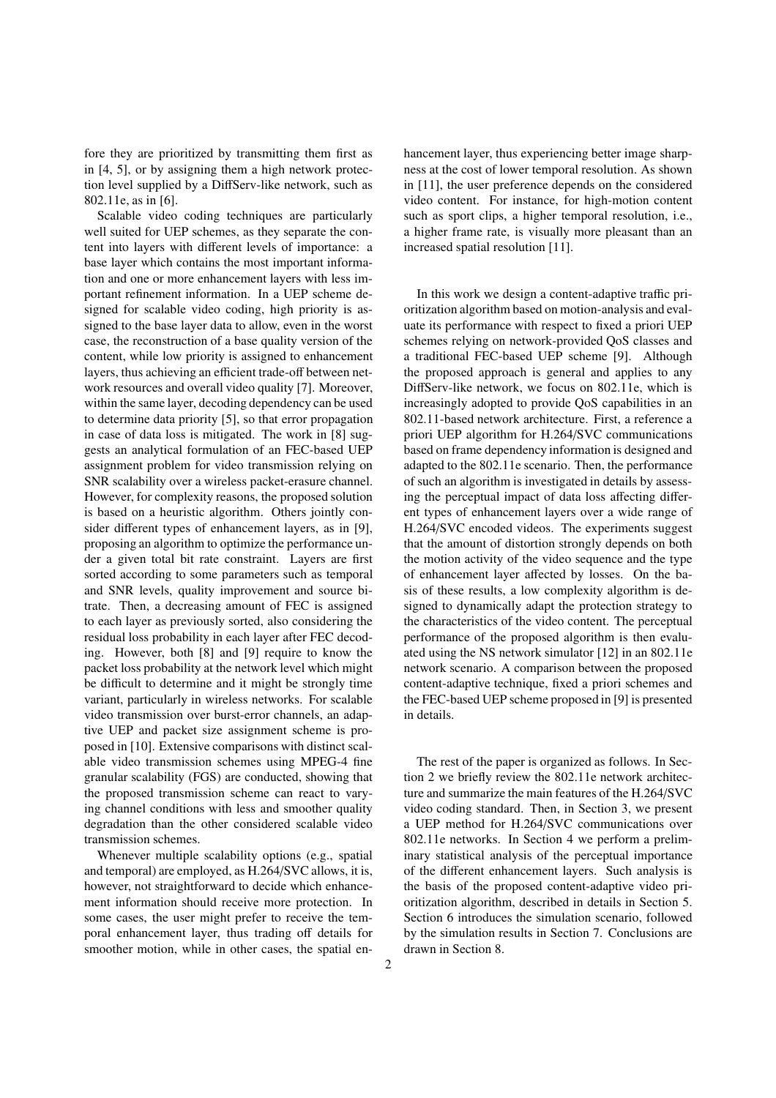fore they are prioritized by transmitting them first as in [4, 5], or by assigning them a high network protection level supplied by a DiffServ-like network, such as 802.11e, as in [6].

Scalable video coding techniques are particularly well suited for UEP schemes, as they separate the content into layers with different levels of importance: a base layer which contains the most important information and one or more enhancement layers with less important refinement information. In a UEP scheme designed for scalable video coding, high priority is assigned to the base layer data to allow, even in the worst case, the reconstruction of a base quality version of the content, while low priority is assigned to enhancement layers, thus achieving an efficient trade-off between network resources and overall video quality [7]. Moreover, within the same layer, decoding dependency can be used to determine data priority [5], so that error propagation in case of data loss is mitigated. The work in [8] suggests an analytical formulation of an FEC-based UEP assignment problem for video transmission relying on SNR scalability over a wireless packet-erasure channel. However, for complexity reasons, the proposed solution is based on a heuristic algorithm. Others jointly consider different types of enhancement layers, as in [9], proposing an algorithm to optimize the performance under a given total bit rate constraint. Layers are first sorted according to some parameters such as temporal and SNR levels, quality improvement and source bitrate. Then, a decreasing amount of FEC is assigned to each layer as previously sorted, also considering the residual loss probability in each layer after FEC decoding. However, both [8] and [9] require to know the packet loss probability at the network level which might be difficult to determine and it might be strongly time variant, particularly in wireless networks. For scalable video transmission over burst-error channels, an adaptive UEP and packet size assignment scheme is proposed in [10]. Extensive comparisons with distinct scalable video transmission schemes using MPEG-4 fine granular scalability (FGS) are conducted, showing that the proposed transmission scheme can react to varying channel conditions with less and smoother quality degradation than the other considered scalable video transmission schemes.

Whenever multiple scalability options (e.g., spatial and temporal) are employed, as H.264/SVC allows, it is, however, not straightforward to decide which enhancement information should receive more protection. In some cases, the user might prefer to receive the temporal enhancement layer, thus trading off details for smoother motion, while in other cases, the spatial enhancement layer, thus experiencing better image sharpness at the cost of lower temporal resolution. As shown in [11], the user preference depends on the considered video content. For instance, for high-motion content such as sport clips, a higher temporal resolution, i.e., a higher frame rate, is visually more pleasant than an increased spatial resolution [11].

In this work we design a content-adaptive traffic prioritization algorithm based on motion-analysis and evaluate its performance with respect to fixed a priori UEP schemes relying on network-provided QoS classes and a traditional FEC-based UEP scheme [9]. Although the proposed approach is general and applies to any DiffServ-like network, we focus on 802.11e, which is increasingly adopted to provide QoS capabilities in an 802.11-based network architecture. First, a reference a priori UEP algorithm for H.264/SVC communications based on frame dependency information is designed and adapted to the 802.11e scenario. Then, the performance of such an algorithm is investigated in details by assessing the perceptual impact of data loss affecting different types of enhancement layers over a wide range of H.264/SVC encoded videos. The experiments suggest that the amount of distortion strongly depends on both the motion activity of the video sequence and the type of enhancement layer affected by losses. On the basis of these results, a low complexity algorithm is designed to dynamically adapt the protection strategy to the characteristics of the video content. The perceptual performance of the proposed algorithm is then evaluated using the NS network simulator [12] in an 802.11e network scenario. A comparison between the proposed content-adaptive technique, fixed a priori schemes and the FEC-based UEP scheme proposed in [9] is presented in details.

The rest of the paper is organized as follows. In Section 2 we briefly review the 802.11e network architecture and summarize the main features of the H.264/SVC video coding standard. Then, in Section 3, we present a UEP method for H.264/SVC communications over 802.11e networks. In Section 4 we perform a preliminary statistical analysis of the perceptual importance of the different enhancement layers. Such analysis is the basis of the proposed content-adaptive video prioritization algorithm, described in details in Section 5. Section 6 introduces the simulation scenario, followed by the simulation results in Section 7. Conclusions are drawn in Section 8.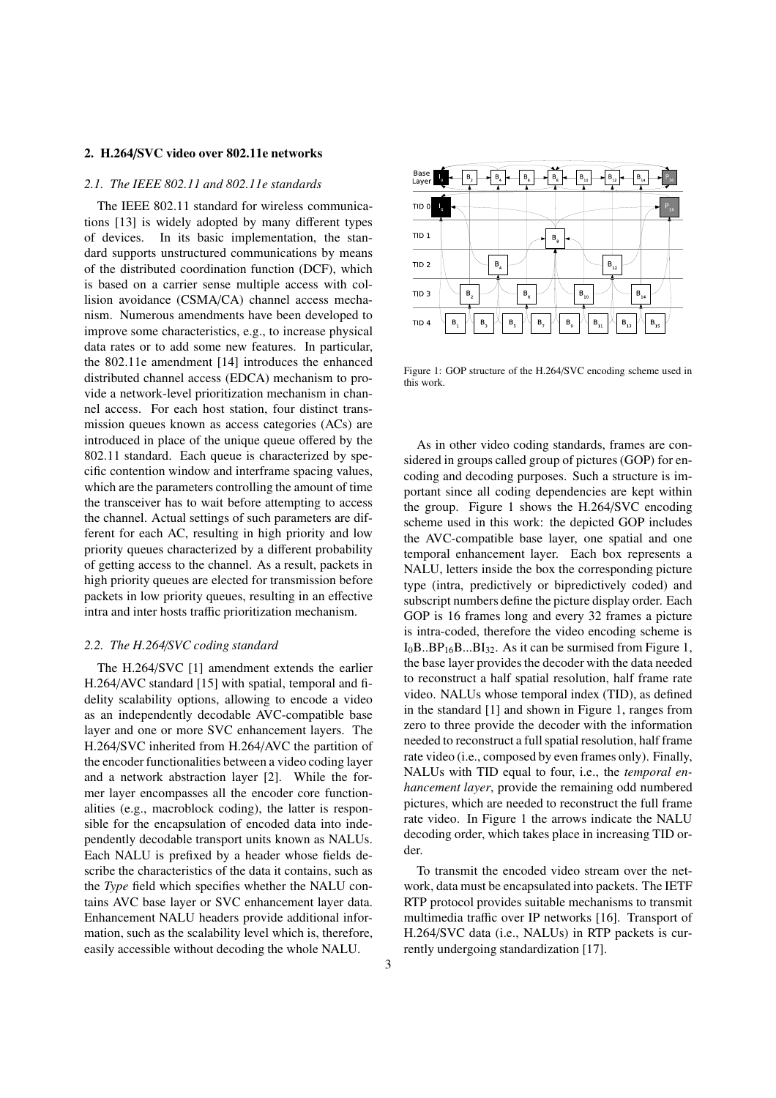#### 2. H.264/SVC video over 802.11e networks

### *2.1. The IEEE 802.11 and 802.11e standards*

The IEEE 802.11 standard for wireless communications [13] is widely adopted by many different types of devices. In its basic implementation, the standard supports unstructured communications by means of the distributed coordination function (DCF), which is based on a carrier sense multiple access with collision avoidance (CSMA/CA) channel access mechanism. Numerous amendments have been developed to improve some characteristics, e.g., to increase physical data rates or to add some new features. In particular, the 802.11e amendment [14] introduces the enhanced distributed channel access (EDCA) mechanism to provide a network-level prioritization mechanism in channel access. For each host station, four distinct transmission queues known as access categories (ACs) are introduced in place of the unique queue offered by the 802.11 standard. Each queue is characterized by specific contention window and interframe spacing values, which are the parameters controlling the amount of time the transceiver has to wait before attempting to access the channel. Actual settings of such parameters are different for each AC, resulting in high priority and low priority queues characterized by a different probability of getting access to the channel. As a result, packets in high priority queues are elected for transmission before packets in low priority queues, resulting in an effective intra and inter hosts traffic prioritization mechanism.

#### *2.2. The H.264*/*SVC coding standard*

The H.264/SVC [1] amendment extends the earlier H.264/AVC standard [15] with spatial, temporal and fidelity scalability options, allowing to encode a video as an independently decodable AVC-compatible base layer and one or more SVC enhancement layers. The H.264/SVC inherited from H.264/AVC the partition of the encoder functionalities between a video coding layer and a network abstraction layer [2]. While the former layer encompasses all the encoder core functionalities (e.g., macroblock coding), the latter is responsible for the encapsulation of encoded data into independently decodable transport units known as NALUs. Each NALU is prefixed by a header whose fields describe the characteristics of the data it contains, such as the *Type* field which specifies whether the NALU contains AVC base layer or SVC enhancement layer data. Enhancement NALU headers provide additional information, such as the scalability level which is, therefore, easily accessible without decoding the whole NALU.



Figure 1: GOP structure of the H.264/SVC encoding scheme used in this work.

As in other video coding standards, frames are considered in groups called group of pictures (GOP) for encoding and decoding purposes. Such a structure is important since all coding dependencies are kept within the group. Figure 1 shows the H.264/SVC encoding scheme used in this work: the depicted GOP includes the AVC-compatible base layer, one spatial and one temporal enhancement layer. Each box represents a NALU, letters inside the box the corresponding picture type (intra, predictively or bipredictively coded) and subscript numbers define the picture display order. Each GOP is 16 frames long and every 32 frames a picture is intra-coded, therefore the video encoding scheme is  $I_0B..BP_{16}B...BI_{32}$ . As it can be surmised from Figure 1, the base layer provides the decoder with the data needed to reconstruct a half spatial resolution, half frame rate video. NALUs whose temporal index (TID), as defined in the standard [1] and shown in Figure 1, ranges from zero to three provide the decoder with the information needed to reconstruct a full spatial resolution, half frame rate video (i.e., composed by even frames only). Finally, NALUs with TID equal to four, i.e., the *temporal enhancement layer*, provide the remaining odd numbered pictures, which are needed to reconstruct the full frame rate video. In Figure 1 the arrows indicate the NALU decoding order, which takes place in increasing TID order.

To transmit the encoded video stream over the network, data must be encapsulated into packets. The IETF RTP protocol provides suitable mechanisms to transmit multimedia traffic over IP networks [16]. Transport of H.264/SVC data (i.e., NALUs) in RTP packets is currently undergoing standardization [17].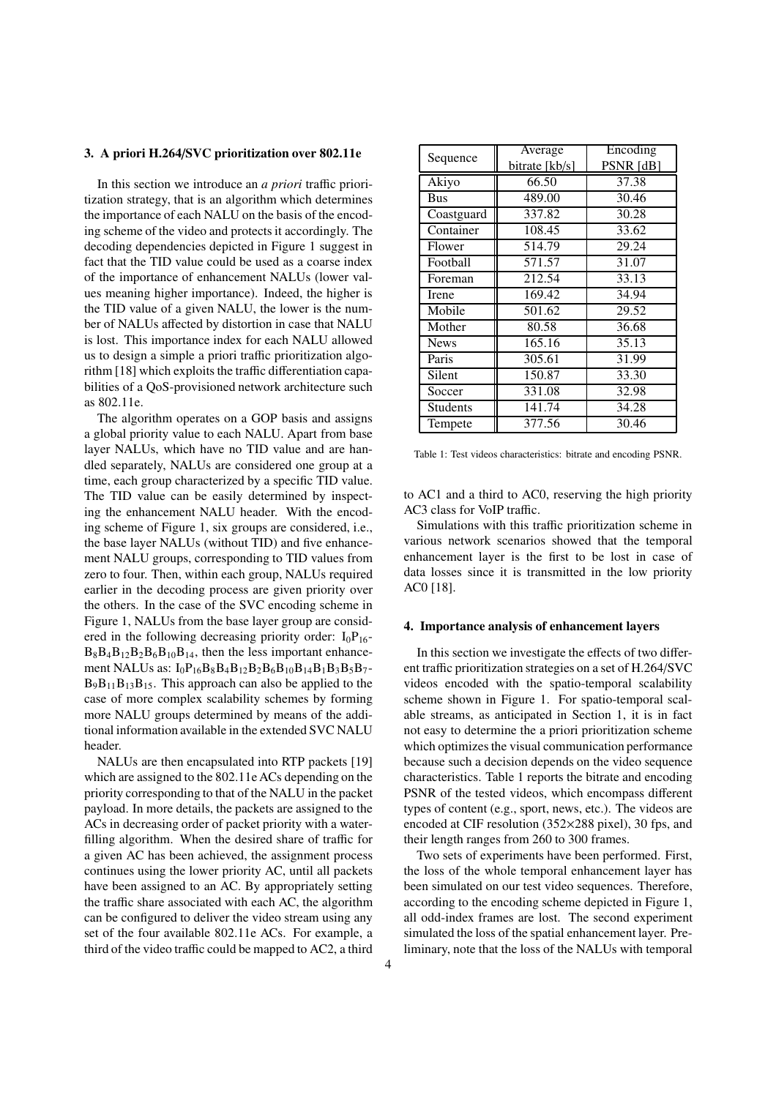#### 3. A priori H.264/SVC prioritization over 802.11e

In this section we introduce an *a priori* traffic prioritization strategy, that is an algorithm which determines the importance of each NALU on the basis of the encoding scheme of the video and protects it accordingly. The decoding dependencies depicted in Figure 1 suggest in fact that the TID value could be used as a coarse index of the importance of enhancement NALUs (lower values meaning higher importance). Indeed, the higher is the TID value of a given NALU, the lower is the number of NALUs affected by distortion in case that NALU is lost. This importance index for each NALU allowed us to design a simple a priori traffic prioritization algorithm [18] which exploits the traffic differentiation capabilities of a QoS-provisioned network architecture such as 802.11e.

The algorithm operates on a GOP basis and assigns a global priority value to each NALU. Apart from base layer NALUs, which have no TID value and are handled separately, NALUs are considered one group at a time, each group characterized by a specific TID value. The TID value can be easily determined by inspecting the enhancement NALU header. With the encoding scheme of Figure 1, six groups are considered, i.e., the base layer NALUs (without TID) and five enhancement NALU groups, corresponding to TID values from zero to four. Then, within each group, NALUs required earlier in the decoding process are given priority over the others. In the case of the SVC encoding scheme in Figure 1, NALUs from the base layer group are considered in the following decreasing priority order:  $I_0P_{16}$ - $B_8B_4B_{12}B_2B_6B_{10}B_{14}$ , then the less important enhancement NALUs as:  $I_0P_{16}B_8B_4B_{12}B_2B_6B_{10}B_{14}B_1B_3B_5B_7$ - $B_9B_{11}B_{13}B_{15}$ . This approach can also be applied to the case of more complex scalability schemes by forming more NALU groups determined by means of the additional information available in the extended SVC NALU header.

NALUs are then encapsulated into RTP packets [19] which are assigned to the 802.11e ACs depending on the priority corresponding to that of the NALU in the packet payload. In more details, the packets are assigned to the ACs in decreasing order of packet priority with a waterfilling algorithm. When the desired share of traffic for a given AC has been achieved, the assignment process continues using the lower priority AC, until all packets have been assigned to an AC. By appropriately setting the traffic share associated with each AC, the algorithm can be configured to deliver the video stream using any set of the four available 802.11e ACs. For example, a third of the video traffic could be mapped to AC2, a third

| Sequence                        | Average        | Encoding  |
|---------------------------------|----------------|-----------|
|                                 | bitrate [kb/s] | PSNR [dB] |
| Akiyo                           | 66.50          | 37.38     |
| Bus                             | 489.00         | 30.46     |
| $\overline{\text{Co}}$ astguard | 337.82         | 30.28     |
| Container                       | 108.45         | 33.62     |
| Flower                          | 514.79         | 29.24     |
| Football                        | 571.57         | 31.07     |
| Foreman                         | 212.54         | 33.13     |
| Irene                           | 169.42         | 34.94     |
| Mobile                          | 501.62         | 29.52     |
| Mother                          | 80.58          | 36.68     |
| <b>News</b>                     | 165.16         | 35.13     |
| Paris                           | 305.61         | 31.99     |
| Silent                          | 150.87         | 33.30     |
| Soccer                          | 331.08         | 32.98     |
| <b>Students</b>                 | 141.74         | 34.28     |
| Tempete                         | 377.56         | 30.46     |

| Table 1: Test videos characteristics: bitrate and encoding PSNR. |  |
|------------------------------------------------------------------|--|
|------------------------------------------------------------------|--|

to AC1 and a third to AC0, reserving the high priority AC3 class for VoIP traffic.

Simulations with this traffic prioritization scheme in various network scenarios showed that the temporal enhancement layer is the first to be lost in case of data losses since it is transmitted in the low priority AC0 [18].

#### 4. Importance analysis of enhancement layers

In this section we investigate the effects of two different traffic prioritization strategies on a set of H.264/SVC videos encoded with the spatio-temporal scalability scheme shown in Figure 1. For spatio-temporal scalable streams, as anticipated in Section 1, it is in fact not easy to determine the a priori prioritization scheme which optimizes the visual communication performance because such a decision depends on the video sequence characteristics. Table 1 reports the bitrate and encoding PSNR of the tested videos, which encompass different types of content (e.g., sport, news, etc.). The videos are encoded at CIF resolution (352×288 pixel), 30 fps, and their length ranges from 260 to 300 frames.

Two sets of experiments have been performed. First, the loss of the whole temporal enhancement layer has been simulated on our test video sequences. Therefore, according to the encoding scheme depicted in Figure 1, all odd-index frames are lost. The second experiment simulated the loss of the spatial enhancement layer. Preliminary, note that the loss of the NALUs with temporal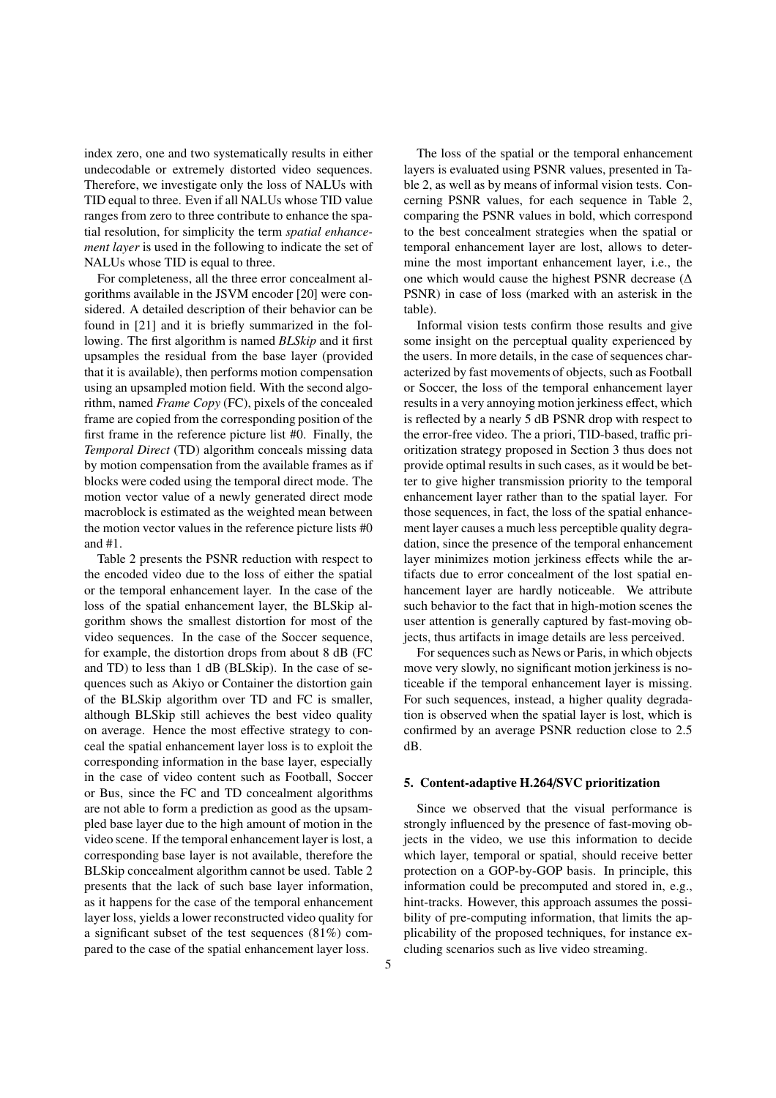index zero, one and two systematically results in either undecodable or extremely distorted video sequences. Therefore, we investigate only the loss of NALUs with TID equal to three. Even if all NALUs whose TID value ranges from zero to three contribute to enhance the spatial resolution, for simplicity the term *spatial enhancement layer* is used in the following to indicate the set of NALUs whose TID is equal to three.

For completeness, all the three error concealment algorithms available in the JSVM encoder [20] were considered. A detailed description of their behavior can be found in [21] and it is briefly summarized in the following. The first algorithm is named *BLSkip* and it first upsamples the residual from the base layer (provided that it is available), then performs motion compensation using an upsampled motion field. With the second algorithm, named *Frame Copy* (FC), pixels of the concealed frame are copied from the corresponding position of the first frame in the reference picture list #0. Finally, the *Temporal Direct* (TD) algorithm conceals missing data by motion compensation from the available frames as if blocks were coded using the temporal direct mode. The motion vector value of a newly generated direct mode macroblock is estimated as the weighted mean between the motion vector values in the reference picture lists #0 and #1.

Table 2 presents the PSNR reduction with respect to the encoded video due to the loss of either the spatial or the temporal enhancement layer. In the case of the loss of the spatial enhancement layer, the BLSkip algorithm shows the smallest distortion for most of the video sequences. In the case of the Soccer sequence, for example, the distortion drops from about 8 dB (FC and TD) to less than 1 dB (BLSkip). In the case of sequences such as Akiyo or Container the distortion gain of the BLSkip algorithm over TD and FC is smaller, although BLSkip still achieves the best video quality on average. Hence the most effective strategy to conceal the spatial enhancement layer loss is to exploit the corresponding information in the base layer, especially in the case of video content such as Football, Soccer or Bus, since the FC and TD concealment algorithms are not able to form a prediction as good as the upsampled base layer due to the high amount of motion in the video scene. If the temporal enhancement layer is lost, a corresponding base layer is not available, therefore the BLSkip concealment algorithm cannot be used. Table 2 presents that the lack of such base layer information, as it happens for the case of the temporal enhancement layer loss, yields a lower reconstructed video quality for a significant subset of the test sequences (81%) compared to the case of the spatial enhancement layer loss.

The loss of the spatial or the temporal enhancement layers is evaluated using PSNR values, presented in Table 2, as well as by means of informal vision tests. Concerning PSNR values, for each sequence in Table 2, comparing the PSNR values in bold, which correspond to the best concealment strategies when the spatial or temporal enhancement layer are lost, allows to determine the most important enhancement layer, i.e., the one which would cause the highest PSNR decrease (∆ PSNR) in case of loss (marked with an asterisk in the table).

Informal vision tests confirm those results and give some insight on the perceptual quality experienced by the users. In more details, in the case of sequences characterized by fast movements of objects, such as Football or Soccer, the loss of the temporal enhancement layer results in a very annoying motion jerkiness effect, which is reflected by a nearly 5 dB PSNR drop with respect to the error-free video. The a priori, TID-based, traffic prioritization strategy proposed in Section 3 thus does not provide optimal results in such cases, as it would be better to give higher transmission priority to the temporal enhancement layer rather than to the spatial layer. For those sequences, in fact, the loss of the spatial enhancement layer causes a much less perceptible quality degradation, since the presence of the temporal enhancement layer minimizes motion jerkiness effects while the artifacts due to error concealment of the lost spatial enhancement layer are hardly noticeable. We attribute such behavior to the fact that in high-motion scenes the user attention is generally captured by fast-moving objects, thus artifacts in image details are less perceived.

For sequences such as News or Paris, in which objects move very slowly, no significant motion jerkiness is noticeable if the temporal enhancement layer is missing. For such sequences, instead, a higher quality degradation is observed when the spatial layer is lost, which is confirmed by an average PSNR reduction close to 2.5 dB.

## 5. Content-adaptive H.264/SVC prioritization

Since we observed that the visual performance is strongly influenced by the presence of fast-moving objects in the video, we use this information to decide which layer, temporal or spatial, should receive better protection on a GOP-by-GOP basis. In principle, this information could be precomputed and stored in, e.g., hint-tracks. However, this approach assumes the possibility of pre-computing information, that limits the applicability of the proposed techniques, for instance excluding scenarios such as live video streaming.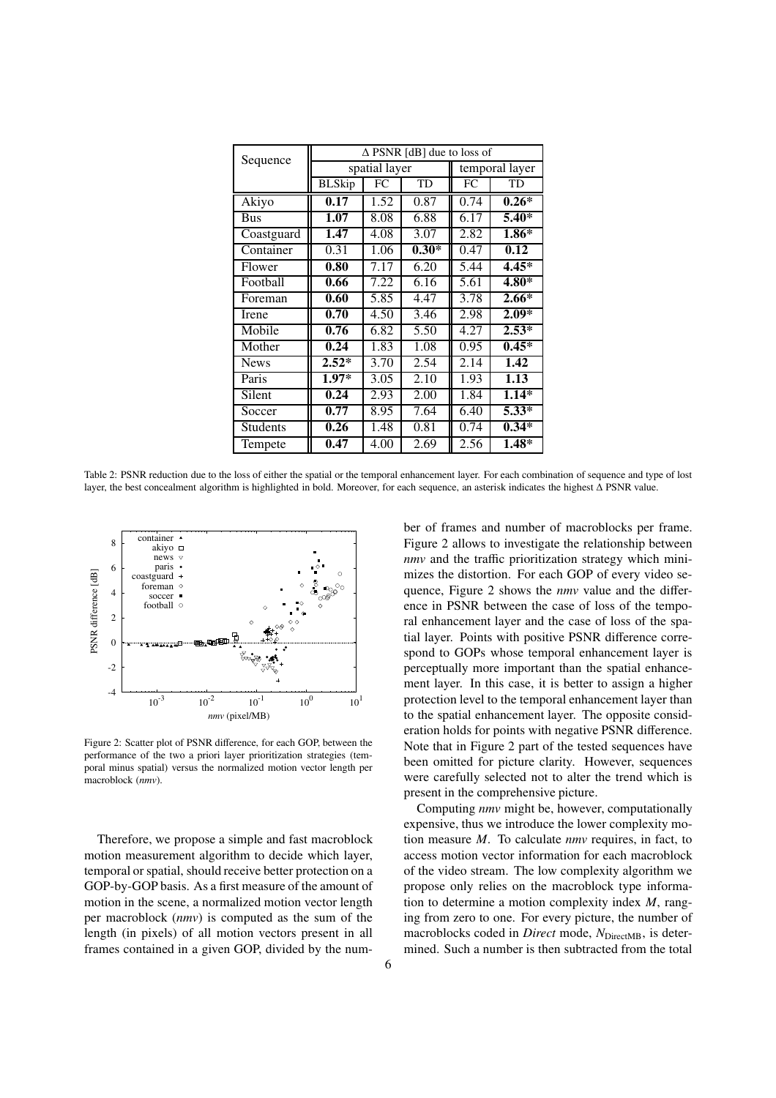|                 | $\Delta$ PSNR [dB] due to loss of |      |         |      |                |  |
|-----------------|-----------------------------------|------|---------|------|----------------|--|
| Sequence        | spatial layer                     |      |         |      | temporal layer |  |
|                 | <b>BLSkip</b>                     | FC   | TD      | FC   | TD             |  |
| Akiyo           | 0.17                              | 1.52 | 0.87    | 0.74 | $0.26*$        |  |
| <b>Bus</b>      | 1.07                              | 8.08 | 6.88    | 6.17 | $5.40*$        |  |
| Coastguard      | 1.47                              | 4.08 | 3.07    | 2.82 | $1.86*$        |  |
| Container       | 0.31                              | 1.06 | $0.30*$ | 0.47 | 0.12           |  |
| Flower          | 0.80                              | 7.17 | 6.20    | 5.44 | $4.45*$        |  |
| Football        | 0.66                              | 7.22 | 6.16    | 5.61 | $4.80*$        |  |
| Foreman         | 0.60                              | 5.85 | 4.47    | 3.78 | $2.66*$        |  |
| Irene           | 0.70                              | 4.50 | 3.46    | 2.98 | $2.09*$        |  |
| Mobile          | 0.76                              | 6.82 | 5.50    | 4.27 | $2.53*$        |  |
| Mother          | 0.24                              | 1.83 | 1.08    | 0.95 | $0.45*$        |  |
| <b>News</b>     | $2.52*$                           | 3.70 | 2.54    | 2.14 | 1.42           |  |
| Paris           | $1.97*$                           | 3.05 | 2.10    | 1.93 | 1.13           |  |
| Silent          | 0.24                              | 2.93 | 2.00    | 1.84 | $1.14*$        |  |
| Soccer          | 0.77                              | 8.95 | 7.64    | 6.40 | $5.33*$        |  |
| <b>Students</b> | 0.26                              | 1.48 | 0.81    | 0.74 | $0.34*$        |  |
| Tempete         | 0.47                              | 4.00 | 2.69    | 2.56 | 1.48*          |  |

Table 2: PSNR reduction due to the loss of either the spatial or the temporal enhancement layer. For each combination of sequence and type of lost layer, the best concealment algorithm is highlighted in bold. Moreover, for each sequence, an asterisk indicates the highest ∆ PSNR value.



Figure 2: Scatter plot of PSNR difference, for each GOP, between the performance of the two a priori layer prioritization strategies (temporal minus spatial) versus the normalized motion vector length per macroblock (*nmv*).

Therefore, we propose a simple and fast macroblock motion measurement algorithm to decide which layer, temporal or spatial, should receive better protection on a GOP-by-GOP basis. As a first measure of the amount of motion in the scene, a normalized motion vector length per macroblock (*nmv*) is computed as the sum of the length (in pixels) of all motion vectors present in all frames contained in a given GOP, divided by the number of frames and number of macroblocks per frame. Figure 2 allows to investigate the relationship between *nmv* and the traffic prioritization strategy which minimizes the distortion. For each GOP of every video sequence, Figure 2 shows the *nmv* value and the difference in PSNR between the case of loss of the temporal enhancement layer and the case of loss of the spatial layer. Points with positive PSNR difference correspond to GOPs whose temporal enhancement layer is perceptually more important than the spatial enhancement layer. In this case, it is better to assign a higher protection level to the temporal enhancement layer than to the spatial enhancement layer. The opposite consideration holds for points with negative PSNR difference. Note that in Figure 2 part of the tested sequences have been omitted for picture clarity. However, sequences were carefully selected not to alter the trend which is present in the comprehensive picture.

Computing *nmv* might be, however, computationally expensive, thus we introduce the lower complexity motion measure *M*. To calculate *nmv* requires, in fact, to access motion vector information for each macroblock of the video stream. The low complexity algorithm we propose only relies on the macroblock type information to determine a motion complexity index *M*, ranging from zero to one. For every picture, the number of macroblocks coded in *Direct* mode,  $N<sub>DirectMB</sub>$ , is determined. Such a number is then subtracted from the total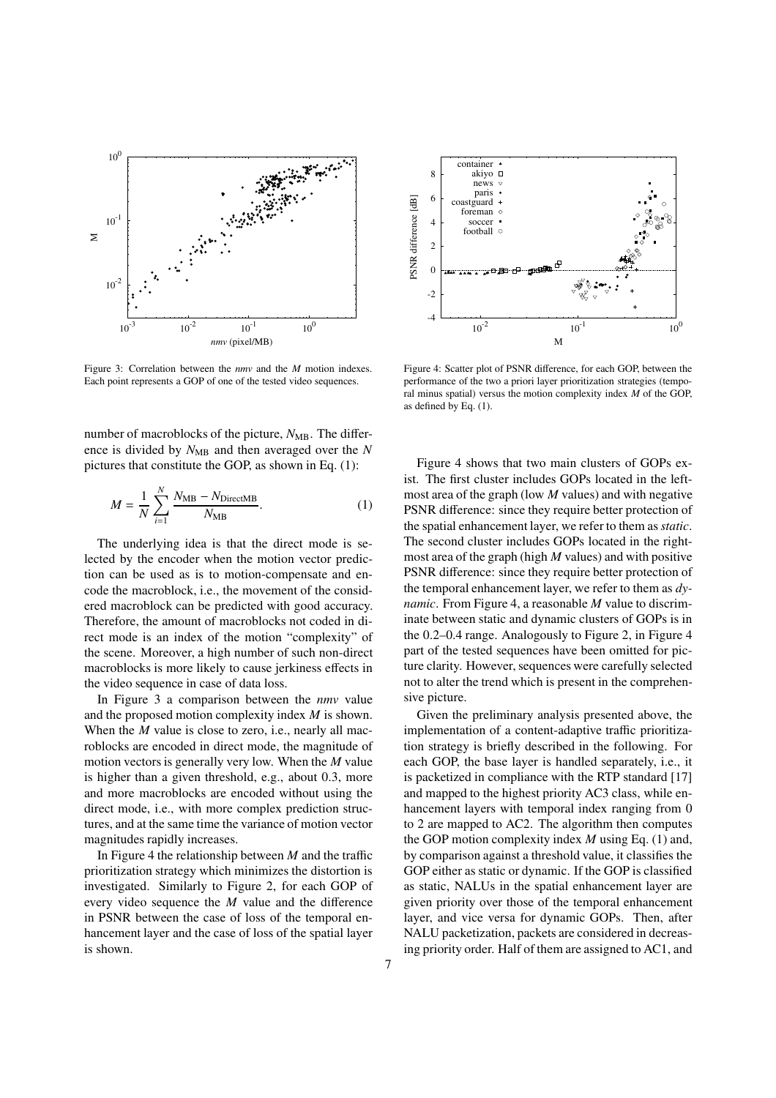

Figure 3: Correlation between the *nmv* and the *M* motion indexes. Each point represents a GOP of one of the tested video sequences.

number of macroblocks of the picture,  $N_{MB}$ . The difference is divided by  $N_{\text{MB}}$  and then averaged over the *N* pictures that constitute the GOP, as shown in Eq. (1):

$$
M = \frac{1}{N} \sum_{i=1}^{N} \frac{N_{\text{MB}} - N_{\text{DirectMB}}}{N_{\text{MB}}}.
$$
 (1)

The underlying idea is that the direct mode is selected by the encoder when the motion vector prediction can be used as is to motion-compensate and encode the macroblock, i.e., the movement of the considered macroblock can be predicted with good accuracy. Therefore, the amount of macroblocks not coded in direct mode is an index of the motion "complexity" of the scene. Moreover, a high number of such non-direct macroblocks is more likely to cause jerkiness effects in the video sequence in case of data loss.

In Figure 3 a comparison between the *nmv* value and the proposed motion complexity index *M* is shown. When the *M* value is close to zero, i.e., nearly all macroblocks are encoded in direct mode, the magnitude of motion vectors is generally very low. When the *M* value is higher than a given threshold, e.g., about 0.3, more and more macroblocks are encoded without using the direct mode, i.e., with more complex prediction structures, and at the same time the variance of motion vector magnitudes rapidly increases.

In Figure 4 the relationship between *M* and the traffic prioritization strategy which minimizes the distortion is investigated. Similarly to Figure 2, for each GOP of every video sequence the *M* value and the difference in PSNR between the case of loss of the temporal enhancement layer and the case of loss of the spatial layer is shown.



Figure 4: Scatter plot of PSNR difference, for each GOP, between the performance of the two a priori layer prioritization strategies (temporal minus spatial) versus the motion complexity index *M* of the GOP, as defined by Eq. (1).

Figure 4 shows that two main clusters of GOPs exist. The first cluster includes GOPs located in the leftmost area of the graph (low *M* values) and with negative PSNR difference: since they require better protection of the spatial enhancement layer, we refer to them as*static*. The second cluster includes GOPs located in the rightmost area of the graph (high *M* values) and with positive PSNR difference: since they require better protection of the temporal enhancement layer, we refer to them as *dynamic*. From Figure 4, a reasonable *M* value to discriminate between static and dynamic clusters of GOPs is in the 0.2–0.4 range. Analogously to Figure 2, in Figure 4 part of the tested sequences have been omitted for picture clarity. However, sequences were carefully selected not to alter the trend which is present in the comprehensive picture.

Given the preliminary analysis presented above, the implementation of a content-adaptive traffic prioritization strategy is briefly described in the following. For each GOP, the base layer is handled separately, i.e., it is packetized in compliance with the RTP standard [17] and mapped to the highest priority AC3 class, while enhancement layers with temporal index ranging from 0 to 2 are mapped to AC2. The algorithm then computes the GOP motion complexity index *M* using Eq. (1) and, by comparison against a threshold value, it classifies the GOP either as static or dynamic. If the GOP is classified as static, NALUs in the spatial enhancement layer are given priority over those of the temporal enhancement layer, and vice versa for dynamic GOPs. Then, after NALU packetization, packets are considered in decreasing priority order. Half of them are assigned to AC1, and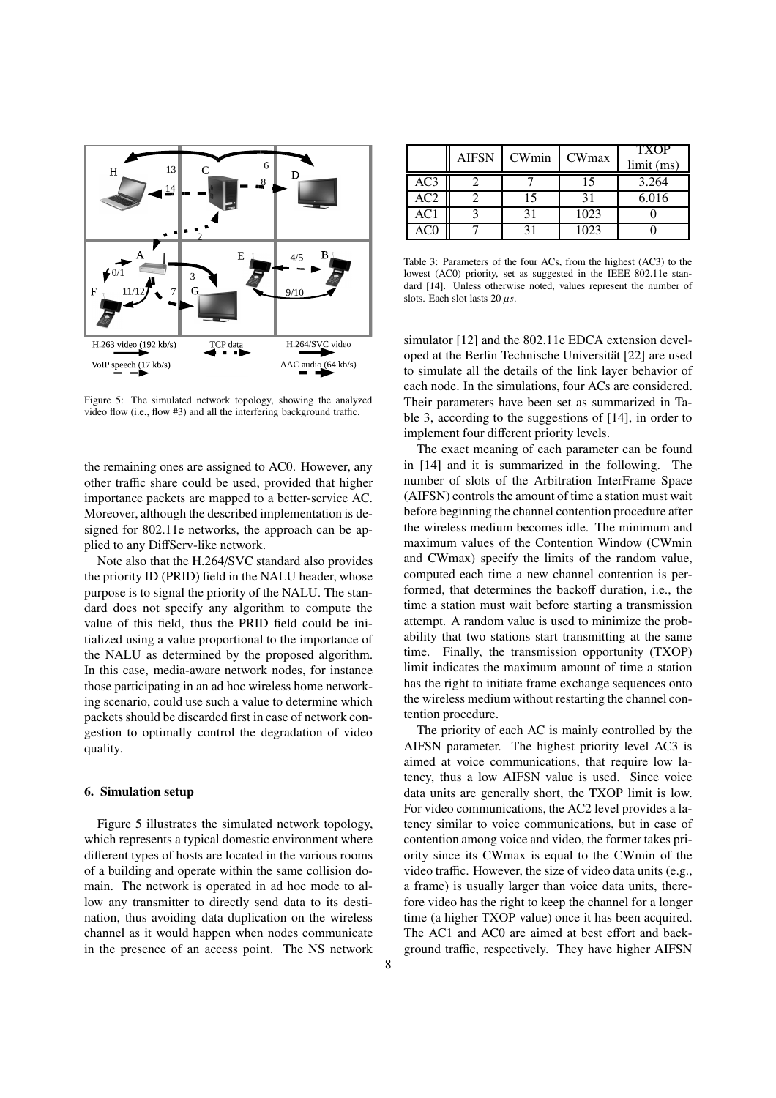

Figure 5: The simulated network topology, showing the analyzed video flow (i.e., flow #3) and all the interfering background traffic.

the remaining ones are assigned to AC0. However, any other traffic share could be used, provided that higher importance packets are mapped to a better-service AC. Moreover, although the described implementation is designed for 802.11e networks, the approach can be applied to any DiffServ-like network.

Note also that the H.264/SVC standard also provides the priority ID (PRID) field in the NALU header, whose purpose is to signal the priority of the NALU. The standard does not specify any algorithm to compute the value of this field, thus the PRID field could be initialized using a value proportional to the importance of the NALU as determined by the proposed algorithm. In this case, media-aware network nodes, for instance those participating in an ad hoc wireless home networking scenario, could use such a value to determine which packets should be discarded first in case of network congestion to optimally control the degradation of video quality.

# 6. Simulation setup

Figure 5 illustrates the simulated network topology, which represents a typical domestic environment where different types of hosts are located in the various rooms of a building and operate within the same collision domain. The network is operated in ad hoc mode to allow any transmitter to directly send data to its destination, thus avoiding data duplication on the wireless channel as it would happen when nodes communicate in the presence of an access point. The NS network

|     | <b>AIFSN</b> | <b>CWmin</b> | <b>CWmax</b> | <b>TXOP</b><br>limit(ms) |
|-----|--------------|--------------|--------------|--------------------------|
| AC3 |              |              | 15           | 3.264                    |
| AC2 |              | 15           | 31           | 6.016                    |
| AC1 |              | 31           | 1023         |                          |
| ACC |              |              | 1023         |                          |

Table 3: Parameters of the four ACs, from the highest (AC3) to the lowest (AC0) priority, set as suggested in the IEEE 802.11e standard [14]. Unless otherwise noted, values represent the number of slots. Each slot lasts 20 µ*s*.

simulator [12] and the 802.11e EDCA extension developed at the Berlin Technische Universität [22] are used to simulate all the details of the link layer behavior of each node. In the simulations, four ACs are considered. Their parameters have been set as summarized in Table 3, according to the suggestions of [14], in order to implement four different priority levels.

The exact meaning of each parameter can be found in [14] and it is summarized in the following. The number of slots of the Arbitration InterFrame Space (AIFSN) controls the amount of time a station must wait before beginning the channel contention procedure after the wireless medium becomes idle. The minimum and maximum values of the Contention Window (CWmin and CWmax) specify the limits of the random value, computed each time a new channel contention is performed, that determines the backoff duration, i.e., the time a station must wait before starting a transmission attempt. A random value is used to minimize the probability that two stations start transmitting at the same time. Finally, the transmission opportunity (TXOP) limit indicates the maximum amount of time a station has the right to initiate frame exchange sequences onto the wireless medium without restarting the channel contention procedure.

The priority of each AC is mainly controlled by the AIFSN parameter. The highest priority level AC3 is aimed at voice communications, that require low latency, thus a low AIFSN value is used. Since voice data units are generally short, the TXOP limit is low. For video communications, the AC2 level provides a latency similar to voice communications, but in case of contention among voice and video, the former takes priority since its CWmax is equal to the CWmin of the video traffic. However, the size of video data units (e.g., a frame) is usually larger than voice data units, therefore video has the right to keep the channel for a longer time (a higher TXOP value) once it has been acquired. The AC1 and AC0 are aimed at best effort and background traffic, respectively. They have higher AIFSN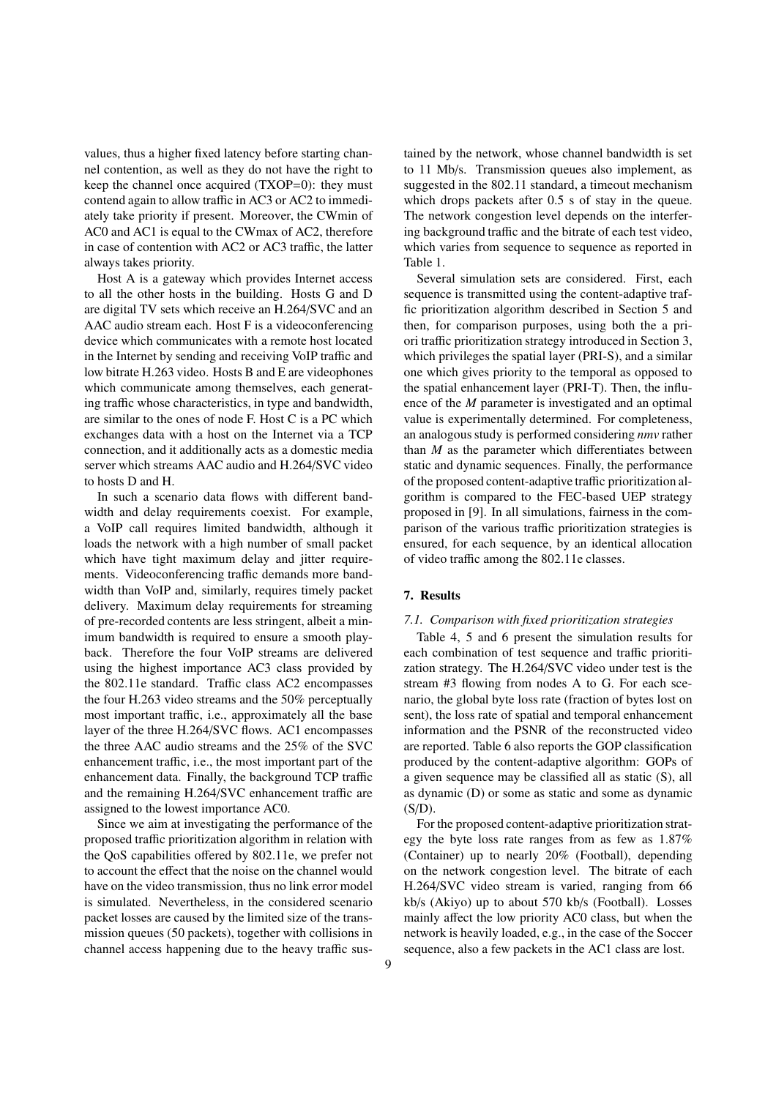values, thus a higher fixed latency before starting channel contention, as well as they do not have the right to keep the channel once acquired (TXOP=0): they must contend again to allow traffic in AC3 or AC2 to immediately take priority if present. Moreover, the CWmin of AC0 and AC1 is equal to the CWmax of AC2, therefore in case of contention with AC2 or AC3 traffic, the latter always takes priority.

Host A is a gateway which provides Internet access to all the other hosts in the building. Hosts G and D are digital TV sets which receive an H.264/SVC and an AAC audio stream each. Host F is a videoconferencing device which communicates with a remote host located in the Internet by sending and receiving VoIP traffic and low bitrate H.263 video. Hosts B and E are videophones which communicate among themselves, each generating traffic whose characteristics, in type and bandwidth, are similar to the ones of node F. Host C is a PC which exchanges data with a host on the Internet via a TCP connection, and it additionally acts as a domestic media server which streams AAC audio and H.264/SVC video to hosts D and H.

In such a scenario data flows with different bandwidth and delay requirements coexist. For example, a VoIP call requires limited bandwidth, although it loads the network with a high number of small packet which have tight maximum delay and jitter requirements. Videoconferencing traffic demands more bandwidth than VoIP and, similarly, requires timely packet delivery. Maximum delay requirements for streaming of pre-recorded contents are less stringent, albeit a minimum bandwidth is required to ensure a smooth playback. Therefore the four VoIP streams are delivered using the highest importance AC3 class provided by the 802.11e standard. Traffic class AC2 encompasses the four H.263 video streams and the 50% perceptually most important traffic, i.e., approximately all the base layer of the three H.264/SVC flows. AC1 encompasses the three AAC audio streams and the 25% of the SVC enhancement traffic, i.e., the most important part of the enhancement data. Finally, the background TCP traffic and the remaining H.264/SVC enhancement traffic are assigned to the lowest importance AC0.

Since we aim at investigating the performance of the proposed traffic prioritization algorithm in relation with the QoS capabilities offered by 802.11e, we prefer not to account the effect that the noise on the channel would have on the video transmission, thus no link error model is simulated. Nevertheless, in the considered scenario packet losses are caused by the limited size of the transmission queues (50 packets), together with collisions in channel access happening due to the heavy traffic sustained by the network, whose channel bandwidth is set to 11 Mb/s. Transmission queues also implement, as suggested in the 802.11 standard, a timeout mechanism which drops packets after  $0.5$  s of stay in the queue. The network congestion level depends on the interfering background traffic and the bitrate of each test video, which varies from sequence to sequence as reported in Table 1.

Several simulation sets are considered. First, each sequence is transmitted using the content-adaptive traffic prioritization algorithm described in Section 5 and then, for comparison purposes, using both the a priori traffic prioritization strategy introduced in Section 3, which privileges the spatial layer (PRI-S), and a similar one which gives priority to the temporal as opposed to the spatial enhancement layer (PRI-T). Then, the influence of the *M* parameter is investigated and an optimal value is experimentally determined. For completeness, an analogous study is performed considering *nmv* rather than  $M$  as the parameter which differentiates between static and dynamic sequences. Finally, the performance of the proposed content-adaptive traffic prioritization algorithm is compared to the FEC-based UEP strategy proposed in [9]. In all simulations, fairness in the comparison of the various traffic prioritization strategies is ensured, for each sequence, by an identical allocation of video traffic among the 802.11e classes.

## 7. Results

#### *7.1. Comparison with fixed prioritization strategies*

Table 4, 5 and 6 present the simulation results for each combination of test sequence and traffic prioritization strategy. The H.264/SVC video under test is the stream #3 flowing from nodes A to G. For each scenario, the global byte loss rate (fraction of bytes lost on sent), the loss rate of spatial and temporal enhancement information and the PSNR of the reconstructed video are reported. Table 6 also reports the GOP classification produced by the content-adaptive algorithm: GOPs of a given sequence may be classified all as static (S), all as dynamic (D) or some as static and some as dynamic  $(S/D)$ .

For the proposed content-adaptive prioritization strategy the byte loss rate ranges from as few as 1.87% (Container) up to nearly 20% (Football), depending on the network congestion level. The bitrate of each H.264/SVC video stream is varied, ranging from 66 kb/s (Akiyo) up to about 570 kb/s (Football). Losses mainly affect the low priority AC0 class, but when the network is heavily loaded, e.g., in the case of the Soccer sequence, also a few packets in the AC1 class are lost.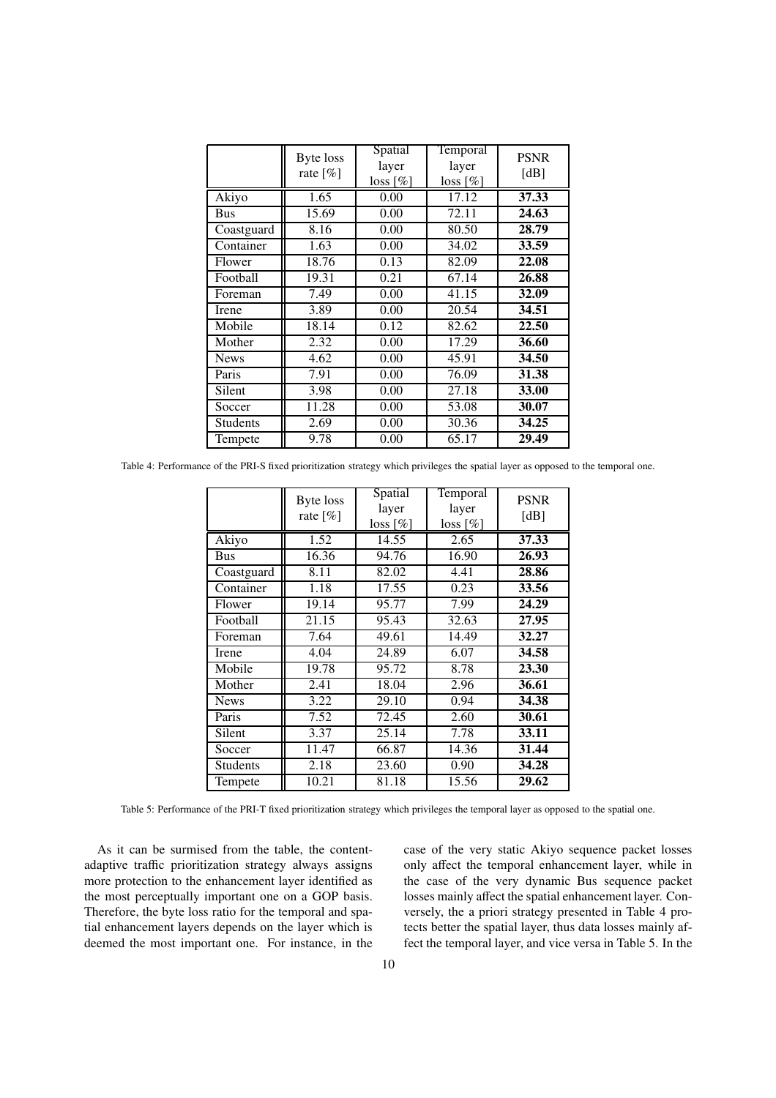|                 | Byte loss<br>rate $[\%]$ | Spatial<br>layer<br>$loss [\%]$ | Temporal<br>layer<br>$\log$ [%] | <b>PSNR</b><br>[dB] |
|-----------------|--------------------------|---------------------------------|---------------------------------|---------------------|
| Akiyo           | 1.65                     | 0.00                            | 17.12                           | 37.33               |
| <b>Bus</b>      | 15.69                    | 0.00                            | 72.11                           | 24.63               |
| Coastguard      | 8.16                     | 0.00                            | 80.50                           | 28.79               |
| Container       | 1.63                     | 0.00                            | 34.02                           | 33.59               |
| Flower          | 18.76                    | 0.13                            | 82.09                           | 22.08               |
| Football        | 19.31                    | 0.21                            | 67.14                           | 26.88               |
| Foreman         | 7.49                     | 0.00                            | 41.15                           | 32.09               |
| Irene           | 3.89                     | 0.00                            | 20.54                           | 34.51               |
| Mobile          | 18.14                    | 0.12                            | 82.62                           | 22.50               |
| Mother          | 2.32                     | 0.00                            | 17.29                           | 36.60               |
| <b>News</b>     | 4.62                     | 0.00                            | 45.91                           | 34.50               |
| Paris           | 7.91                     | 0.00                            | 76.09                           | 31.38               |
| Silent          | 3.98                     | 0.00                            | 27.18                           | 33.00               |
| Soccer          | 11.28                    | 0.00                            | 53.08                           | 30.07               |
| <b>Students</b> | 2.69                     | 0.00                            | 30.36                           | 34.25               |
| Tempete         | 9.78                     | 0.00                            | 65.17                           | 29.49               |

Table 4: Performance of the PRI-S fixed prioritization strategy which privileges the spatial layer as opposed to the temporal one.

|                 | Byte loss<br>rate $\lceil \% \rceil$ | Spatial<br>layer<br>$\log  \% $ | Temporal<br>layer<br>$loss [\%]$ | <b>PSNR</b><br>[dB] |
|-----------------|--------------------------------------|---------------------------------|----------------------------------|---------------------|
| Akiyo           | 1.52                                 | 14.55                           | 2.65                             | 37.33               |
| <b>Bus</b>      | 16.36                                | 94.76                           | 16.90                            | 26.93               |
| Coastguard      | 8.11                                 | 82.02                           | 4.41                             | 28.86               |
| Container       | 1.18                                 | 17.55                           | 0.23                             | 33.56               |
| Flower          | 19.14                                | 95.77                           | 7.99                             | 24.29               |
| Football        | 21.15                                | 95.43                           | 32.63                            | 27.95               |
| Foreman         | 7.64                                 | 49.61                           | 14.49                            | 32.27               |
| Irene           | 4.04                                 | 24.89                           | 6.07                             | 34.58               |
| Mobile          | 19.78                                | 95.72                           | 8.78                             | 23.30               |
| Mother          | 2.41                                 | 18.04                           | 2.96                             | 36.61               |
| <b>News</b>     | 3.22                                 | 29.10                           | 0.94                             | 34.38               |
| Paris           | 7.52                                 | 72.45                           | 2.60                             | 30.61               |
| Silent          | 3.37                                 | 25.14                           | 7.78                             | 33.11               |
| Soccer          | 11.47                                | 66.87                           | 14.36                            | 31.44               |
| <b>Students</b> | 2.18                                 | 23.60                           | 0.90                             | 34.28               |
| Tempete         | 10.21                                | 81.18                           | 15.56                            | 29.62               |

Table 5: Performance of the PRI-T fixed prioritization strategy which privileges the temporal layer as opposed to the spatial one.

As it can be surmised from the table, the contentadaptive traffic prioritization strategy always assigns more protection to the enhancement layer identified as the most perceptually important one on a GOP basis. Therefore, the byte loss ratio for the temporal and spatial enhancement layers depends on the layer which is deemed the most important one. For instance, in the case of the very static Akiyo sequence packet losses only affect the temporal enhancement layer, while in the case of the very dynamic Bus sequence packet losses mainly affect the spatial enhancement layer. Conversely, the a priori strategy presented in Table 4 protects better the spatial layer, thus data losses mainly affect the temporal layer, and vice versa in Table 5. In the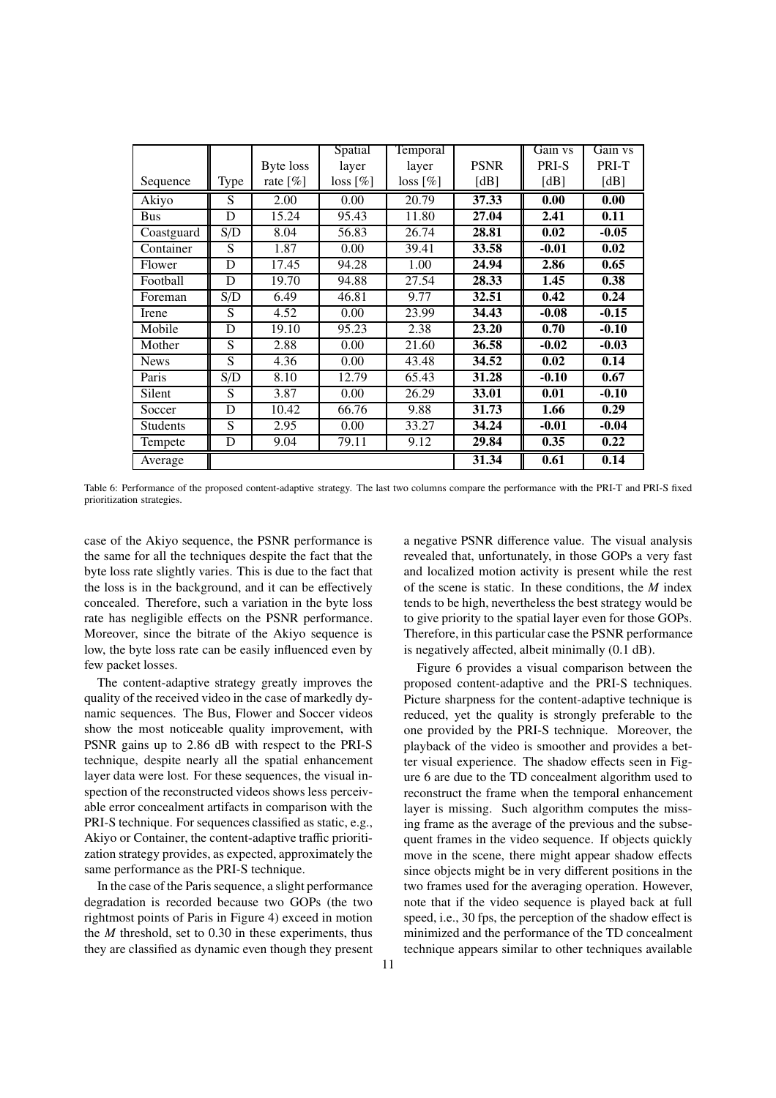|                 |      |             | Spatial     | Temporal    |             | Gain vs | Gain vs |
|-----------------|------|-------------|-------------|-------------|-------------|---------|---------|
|                 |      | Byte loss   | layer       | layer       | <b>PSNR</b> | PRI-S   | PRI-T   |
| Sequence        | Type | rate $[\%]$ | $loss [\%]$ | $loss [\%]$ | [dB]        | [dB]    | [dB]    |
| Akiyo           | S    | 2.00        | 0.00        | 20.79       | 37.33       | 0.00    | 0.00    |
| Bus             | D    | 15.24       | 95.43       | 11.80       | 27.04       | 2.41    | 0.11    |
| Coastguard      | S/D  | 8.04        | 56.83       | 26.74       | 28.81       | 0.02    | $-0.05$ |
| Container       | S    | 1.87        | 0.00        | 39.41       | 33.58       | $-0.01$ | 0.02    |
| Flower          | D    | 17.45       | 94.28       | 1.00        | 24.94       | 2.86    | 0.65    |
| Football        | D    | 19.70       | 94.88       | 27.54       | 28.33       | 1.45    | 0.38    |
| Foreman         | S/D  | 6.49        | 46.81       | 9.77        | 32.51       | 0.42    | 0.24    |
| Irene           | S    | 4.52        | 0.00        | 23.99       | 34.43       | $-0.08$ | $-0.15$ |
| Mobile          | D    | 19.10       | 95.23       | 2.38        | 23.20       | 0.70    | $-0.10$ |
| Mother          | S    | 2.88        | 0.00        | 21.60       | 36.58       | $-0.02$ | $-0.03$ |
| <b>News</b>     | S    | 4.36        | 0.00        | 43.48       | 34.52       | 0.02    | 0.14    |
| Paris           | S/D  | 8.10        | 12.79       | 65.43       | 31.28       | $-0.10$ | 0.67    |
| Silent          | S    | 3.87        | 0.00        | 26.29       | 33.01       | 0.01    | $-0.10$ |
| Soccer          | D    | 10.42       | 66.76       | 9.88        | 31.73       | 1.66    | 0.29    |
| <b>Students</b> | S    | 2.95        | 0.00        | 33.27       | 34.24       | $-0.01$ | $-0.04$ |
| Tempete         | D    | 9.04        | 79.11       | 9.12        | 29.84       | 0.35    | 0.22    |
| Average         |      |             |             |             | 31.34       | 0.61    | 0.14    |

Table 6: Performance of the proposed content-adaptive strategy. The last two columns compare the performance with the PRI-T and PRI-S fixed prioritization strategies.

case of the Akiyo sequence, the PSNR performance is the same for all the techniques despite the fact that the byte loss rate slightly varies. This is due to the fact that the loss is in the background, and it can be effectively concealed. Therefore, such a variation in the byte loss rate has negligible effects on the PSNR performance. Moreover, since the bitrate of the Akiyo sequence is low, the byte loss rate can be easily influenced even by few packet losses.

The content-adaptive strategy greatly improves the quality of the received video in the case of markedly dynamic sequences. The Bus, Flower and Soccer videos show the most noticeable quality improvement, with PSNR gains up to 2.86 dB with respect to the PRI-S technique, despite nearly all the spatial enhancement layer data were lost. For these sequences, the visual inspection of the reconstructed videos shows less perceivable error concealment artifacts in comparison with the PRI-S technique. For sequences classified as static, e.g., Akiyo or Container, the content-adaptive traffic prioritization strategy provides, as expected, approximately the same performance as the PRI-S technique.

In the case of the Paris sequence, a slight performance degradation is recorded because two GOPs (the two rightmost points of Paris in Figure 4) exceed in motion the *M* threshold, set to 0.30 in these experiments, thus they are classified as dynamic even though they present a negative PSNR difference value. The visual analysis revealed that, unfortunately, in those GOPs a very fast and localized motion activity is present while the rest of the scene is static. In these conditions, the *M* index tends to be high, nevertheless the best strategy would be to give priority to the spatial layer even for those GOPs. Therefore, in this particular case the PSNR performance is negatively affected, albeit minimally (0.1 dB).

Figure 6 provides a visual comparison between the proposed content-adaptive and the PRI-S techniques. Picture sharpness for the content-adaptive technique is reduced, yet the quality is strongly preferable to the one provided by the PRI-S technique. Moreover, the playback of the video is smoother and provides a better visual experience. The shadow effects seen in Figure 6 are due to the TD concealment algorithm used to reconstruct the frame when the temporal enhancement layer is missing. Such algorithm computes the missing frame as the average of the previous and the subsequent frames in the video sequence. If objects quickly move in the scene, there might appear shadow effects since objects might be in very different positions in the two frames used for the averaging operation. However, note that if the video sequence is played back at full speed, i.e., 30 fps, the perception of the shadow effect is minimized and the performance of the TD concealment technique appears similar to other techniques available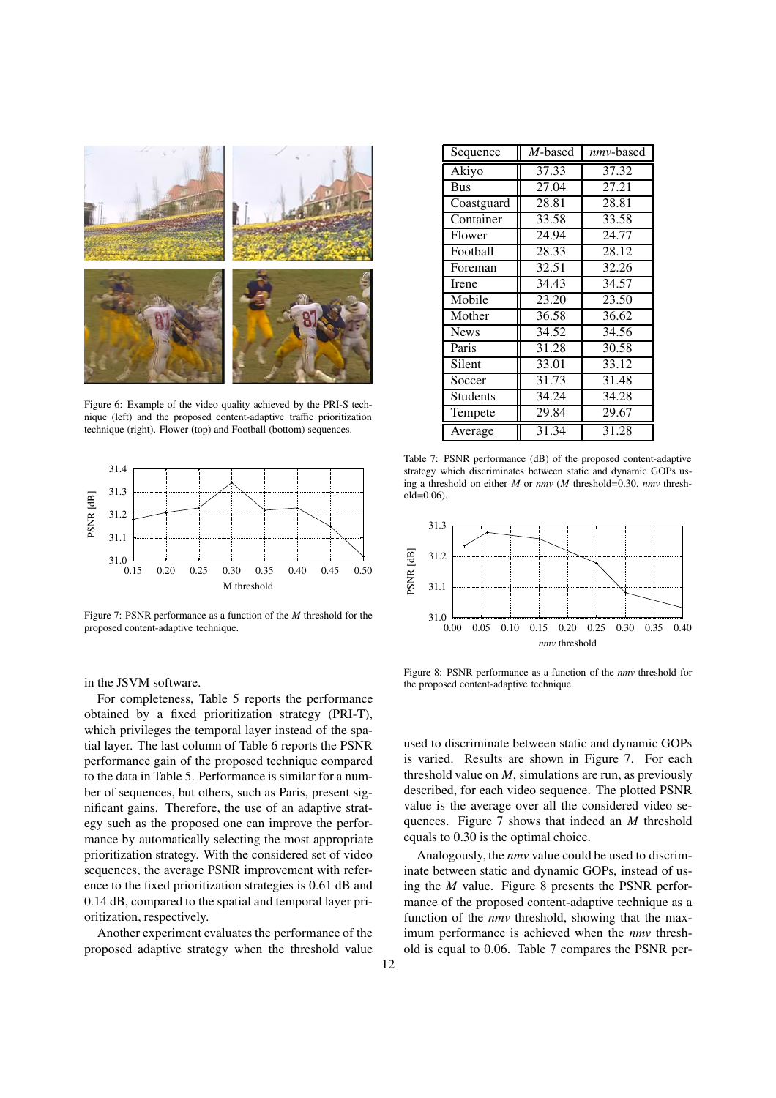

Figure 6: Example of the video quality achieved by the PRI-S technique (left) and the proposed content-adaptive traffic prioritization technique (right). Flower (top) and Football (bottom) sequences.



Figure 7: PSNR performance as a function of the *M* threshold for the proposed content-adaptive technique.

in the JSVM software.

For completeness, Table 5 reports the performance obtained by a fixed prioritization strategy (PRI-T), which privileges the temporal layer instead of the spatial layer. The last column of Table 6 reports the PSNR performance gain of the proposed technique compared to the data in Table 5. Performance is similar for a number of sequences, but others, such as Paris, present significant gains. Therefore, the use of an adaptive strategy such as the proposed one can improve the performance by automatically selecting the most appropriate prioritization strategy. With the considered set of video sequences, the average PSNR improvement with reference to the fixed prioritization strategies is 0.61 dB and 0.14 dB, compared to the spatial and temporal layer prioritization, respectively.

Another experiment evaluates the performance of the proposed adaptive strategy when the threshold value

| Sequence        | M-based | nmv-based |
|-----------------|---------|-----------|
| Akiyo           | 37.33   | 37.32     |
| <b>Bus</b>      | 27.04   | 27.21     |
| Coastguard      | 28.81   | 28.81     |
| Container       | 33.58   | 33.58     |
| Flower          | 24.94   | 24.77     |
| Football        | 28.33   | 28.12     |
| Foreman         | 32.51   | 32.26     |
| Irene           | 34.43   | 34.57     |
| Mobile          | 23.20   | 23.50     |
| Mother          | 36.58   | 36.62     |
| <b>News</b>     | 34.52   | 34.56     |
| Paris           | 31.28   | 30.58     |
| Silent          | 33.01   | 33.12     |
| Soccer          | 31.73   | 31.48     |
| <b>Students</b> | 34.24   | 34.28     |
| Tempete         | 29.84   | 29.67     |
| Average         | 31.34   | 31.28     |

Table 7: PSNR performance (dB) of the proposed content-adaptive strategy which discriminates between static and dynamic GOPs using a threshold on either *M* or *nmv* (*M* threshold=0.30, *nmv* threshold=0.06).



Figure 8: PSNR performance as a function of the *nmv* threshold for the proposed content-adaptive technique.

used to discriminate between static and dynamic GOPs is varied. Results are shown in Figure 7. For each threshold value on *M*, simulations are run, as previously described, for each video sequence. The plotted PSNR value is the average over all the considered video sequences. Figure 7 shows that indeed an *M* threshold equals to 0.30 is the optimal choice.

Analogously, the *nmv* value could be used to discriminate between static and dynamic GOPs, instead of using the *M* value. Figure 8 presents the PSNR performance of the proposed content-adaptive technique as a function of the *nmv* threshold, showing that the maximum performance is achieved when the *nmv* threshold is equal to 0.06. Table 7 compares the PSNR per-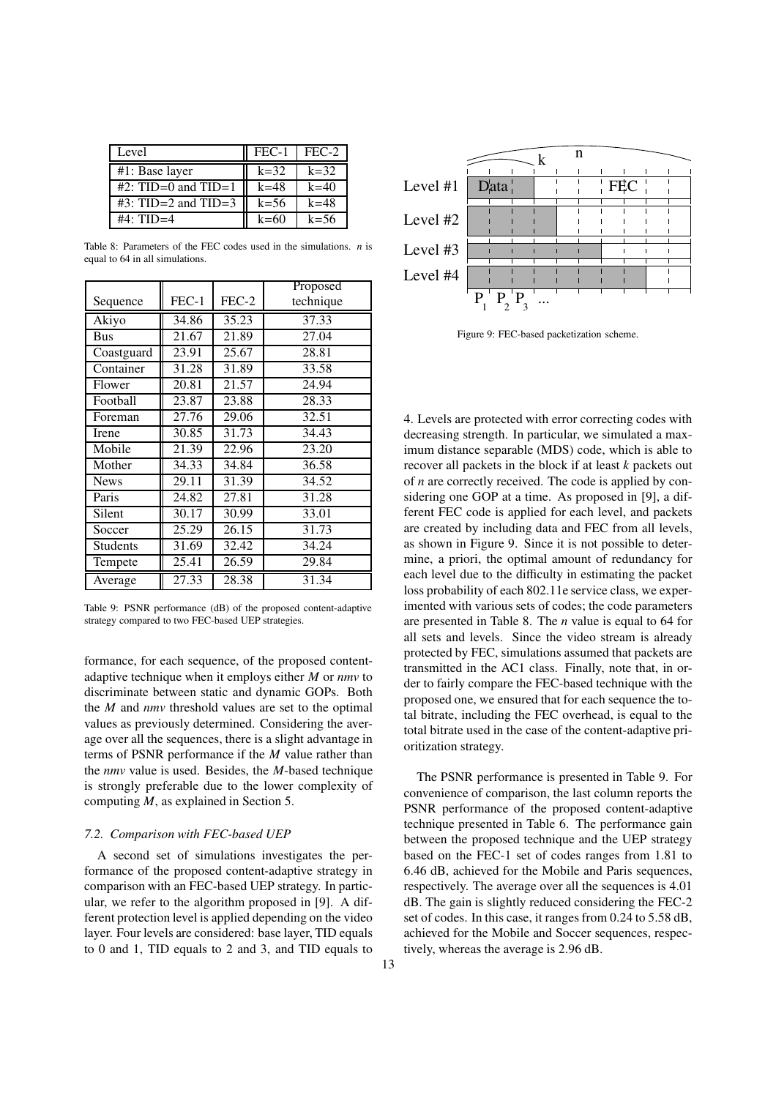| Level                   | $FEC-1$ | $FEC-2$ |
|-------------------------|---------|---------|
| #1: Base layer          | $k=32$  | $k=32$  |
| $#2$ : TID=0 and TID=1  | $k=48$  | $k=40$  |
| $\#3$ : TID=2 and TID=3 | $k=56$  | $k=48$  |
| #4: $TID=4$             | $k=60$  | $k=56$  |

Table 8: Parameters of the FEC codes used in the simulations. *n* is equal to 64 in all simulations.

|                 |       |       | Proposed  |
|-----------------|-------|-------|-----------|
| Sequence        | FEC-1 | FEC-2 | technique |
| Akiyo           | 34.86 | 35.23 | 37.33     |
| <b>Bus</b>      | 21.67 | 21.89 | 27.04     |
| Coastguard      | 23.91 | 25.67 | 28.81     |
| Container       | 31.28 | 31.89 | 33.58     |
| Flower          | 20.81 | 21.57 | 24.94     |
| Football        | 23.87 | 23.88 | 28.33     |
| Foreman         | 27.76 | 29.06 | 32.51     |
| Irene           | 30.85 | 31.73 | 34.43     |
| Mobile          | 21.39 | 22.96 | 23.20     |
| Mother          | 34.33 | 34.84 | 36.58     |
| <b>News</b>     | 29.11 | 31.39 | 34.52     |
| Paris           | 24.82 | 27.81 | 31.28     |
| Silent          | 30.17 | 30.99 | 33.01     |
| Soccer          | 25.29 | 26.15 | 31.73     |
| <b>Students</b> | 31.69 | 32.42 | 34.24     |
| Tempete         | 25.41 | 26.59 | 29.84     |
| Average         | 27.33 | 28.38 | 31.34     |

Table 9: PSNR performance (dB) of the proposed content-adaptive strategy compared to two FEC-based UEP strategies.

formance, for each sequence, of the proposed contentadaptive technique when it employs either *M* or *nmv* to discriminate between static and dynamic GOPs. Both the *M* and *nmv* threshold values are set to the optimal values as previously determined. Considering the average over all the sequences, there is a slight advantage in terms of PSNR performance if the *M* value rather than the *nmv* value is used. Besides, the *M*-based technique is strongly preferable due to the lower complexity of computing *M*, as explained in Section 5.

# *7.2. Comparison with FEC-based UEP*

A second set of simulations investigates the performance of the proposed content-adaptive strategy in comparison with an FEC-based UEP strategy. In particular, we refer to the algorithm proposed in [9]. A different protection level is applied depending on the video layer. Four levels are considered: base layer, TID equals to 0 and 1, TID equals to 2 and 3, and TID equals to



Figure 9: FEC-based packetization scheme.

4. Levels are protected with error correcting codes with decreasing strength. In particular, we simulated a maximum distance separable (MDS) code, which is able to recover all packets in the block if at least *k* packets out of *n* are correctly received. The code is applied by considering one GOP at a time. As proposed in [9], a different FEC code is applied for each level, and packets are created by including data and FEC from all levels, as shown in Figure 9. Since it is not possible to determine, a priori, the optimal amount of redundancy for each level due to the difficulty in estimating the packet loss probability of each 802.11e service class, we experimented with various sets of codes; the code parameters are presented in Table 8. The *n* value is equal to 64 for all sets and levels. Since the video stream is already protected by FEC, simulations assumed that packets are transmitted in the AC1 class. Finally, note that, in order to fairly compare the FEC-based technique with the proposed one, we ensured that for each sequence the total bitrate, including the FEC overhead, is equal to the total bitrate used in the case of the content-adaptive prioritization strategy.

The PSNR performance is presented in Table 9. For convenience of comparison, the last column reports the PSNR performance of the proposed content-adaptive technique presented in Table 6. The performance gain between the proposed technique and the UEP strategy based on the FEC-1 set of codes ranges from 1.81 to 6.46 dB, achieved for the Mobile and Paris sequences, respectively. The average over all the sequences is 4.01 dB. The gain is slightly reduced considering the FEC-2 set of codes. In this case, it ranges from 0.24 to 5.58 dB, achieved for the Mobile and Soccer sequences, respectively, whereas the average is 2.96 dB.